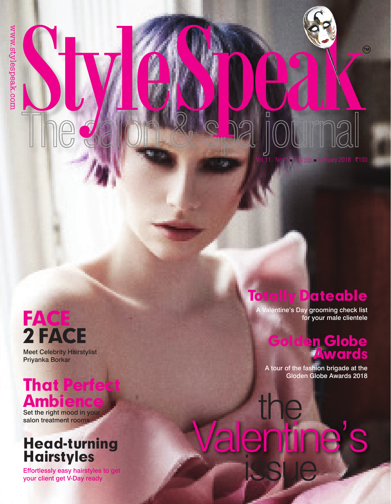## FACE 2 FACE

Meet Celebrity Hairstylist Priyanka Borkar

## That Perfect Ambience

Set the right mood in your<br>salon treatment rooms

## Head-turning **Hairstyles**

Effortlessly easy hairstyles to get your client get V-Day ready

### Totally Dateable

A Valentine's Day grooming check list for your male clientele

#### Golden Globe Awards

■February 2018 ₹100

A tour of the fashion brigade at the Gloden Globe Awards 2018

# alentine issue the